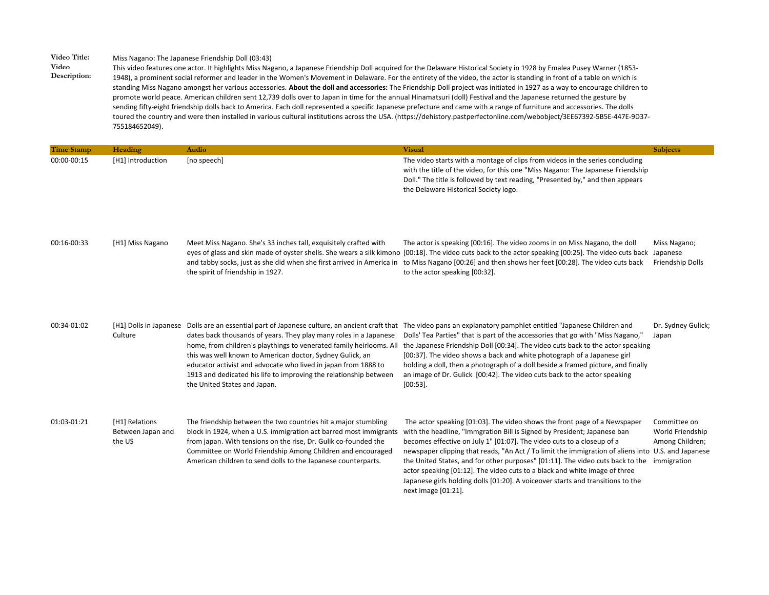## **Video Title:** Miss Nagano: The Japanese Friendship Doll (03:43)

**Video Description:**  This video features one actor. It highlights Miss Nagano, a Japanese Friendship Doll acquired for the Delaware Historical Society in 1928 by Emalea Pusey Warner (1853- 1948), a prominent social reformer and leader in the Women's Movement in Delaware. For the entirety of the video, the actor is standing in front of a table on which is standing Miss Nagano amongst her various accessories. **About the doll and accessories:** The Friendship Doll project was initiated in 1927 as a way to encourage children to promote world peace. American children sent 12,739 dolls over to Japan in time for the annual Hinamatsuri (doll) Festival and the Japanese returned the gesture by sending fifty-eight friendship dolls back to America. Each doll represented a specific Japanese prefecture and came with a range of furniture and accessories. The dolls toured the country and were then installed in various cultural institutions across the USA. (https://dehistory.pastperfectonline.com/webobject/3EE67392-5B5E-447E-9D37- 755184652049).

| <b>Time Stamp</b> | Heading                                       | Audio                                                                                                                                                                                                                                                                                                                                                                        | <b>Visual</b>                                                                                                                                                                                                                                                                                                                                                                                                                                                                                                                                                                                                   | <b>Subjects</b>                                                    |
|-------------------|-----------------------------------------------|------------------------------------------------------------------------------------------------------------------------------------------------------------------------------------------------------------------------------------------------------------------------------------------------------------------------------------------------------------------------------|-----------------------------------------------------------------------------------------------------------------------------------------------------------------------------------------------------------------------------------------------------------------------------------------------------------------------------------------------------------------------------------------------------------------------------------------------------------------------------------------------------------------------------------------------------------------------------------------------------------------|--------------------------------------------------------------------|
| 00:00-00:15       | [H1] Introduction                             | [no speech]                                                                                                                                                                                                                                                                                                                                                                  | The video starts with a montage of clips from videos in the series concluding<br>with the title of the video, for this one "Miss Nagano: The Japanese Friendship<br>Doll." The title is followed by text reading, "Presented by," and then appears<br>the Delaware Historical Society logo.                                                                                                                                                                                                                                                                                                                     |                                                                    |
| 00:16-00:33       | [H1] Miss Nagano                              | Meet Miss Nagano. She's 33 inches tall, exquisitely crafted with<br>and tabby socks, just as she did when she first arrived in America in<br>the spirit of friendship in 1927.                                                                                                                                                                                               | The actor is speaking [00:16]. The video zooms in on Miss Nagano, the doll<br>eyes of glass and skin made of oyster shells. She wears a silk kimono [00:18]. The video cuts back to the actor speaking [00:25]. The video cuts back Japanese<br>to Miss Nagano [00:26] and then shows her feet [00:28]. The video cuts back<br>to the actor speaking [00:32].                                                                                                                                                                                                                                                   | Miss Nagano;<br>Friendship Dolls                                   |
| 00:34-01:02       | Culture                                       | dates back thousands of years. They play many roles in a Japanese<br>home, from children's playthings to venerated family heirlooms. All<br>this was well known to American doctor, Sydney Gulick, an<br>educator activist and advocate who lived in japan from 1888 to<br>1913 and dedicated his life to improving the relationship between<br>the United States and Japan. | [H1] Dolls in Japanese Dolls are an essential part of Japanese culture, an ancient craft that The video pans an explanatory pamphlet entitled "Japanese Children and<br>Dolls' Tea Parties" that is part of the accessories that go with "Miss Nagano,"<br>the Japanese Friendship Doll [00:34]. The video cuts back to the actor speaking<br>[00:37]. The video shows a back and white photograph of a Japanese girl<br>holding a doll, then a photograph of a doll beside a framed picture, and finally<br>an image of Dr. Gulick [00:42]. The video cuts back to the actor speaking<br>$[00:53]$ .           | Dr. Sydney Gulick;<br>Japan                                        |
| 01:03-01:21       | [H1] Relations<br>Between Japan and<br>the US | The friendship between the two countries hit a major stumbling<br>block in 1924, when a U.S. immigration act barred most immigrants<br>from japan. With tensions on the rise, Dr. Gulik co-founded the<br>Committee on World Friendship Among Children and encouraged<br>American children to send dolls to the Japanese counterparts.                                       | The actor speaking [01:03]. The video shows the front page of a Newspaper<br>with the headline, "Immgration Bill is Signed by President; Japanese ban<br>becomes effective on July 1" [01:07]. The video cuts to a closeup of a<br>newspaper clipping that reads, "An Act / To limit the immigration of aliens into U.S. and Japanese<br>the United States, and for other purposes" [01:11]. The video cuts back to the<br>actor speaking [01:12]. The video cuts to a black and white image of three<br>Japanese girls holding dolls [01:20]. A voiceover starts and transitions to the<br>next image [01:21]. | Committee on<br>World Friendship<br>Among Children;<br>immigration |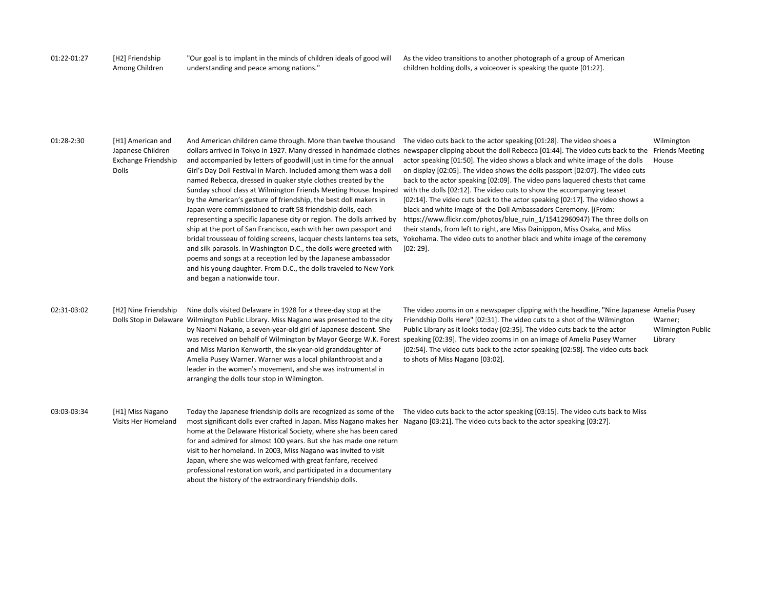01:22-01:27 [H2] Friendship Among Children

"Our goal is to implant in the minds of children ideals of good will understanding and peace among nations."

As the video transitions to another photograph of a group of American children holding dolls, a voiceover is speaking the quote [01:22].

## 01:28-2:30 [H1] American and Japanese Children Exchange Friendship Dolls

And American children came through. More than twelve thousand and accompanied by letters of goodwill just in time for the annual Girl's Day Doll Festival in March. Included among them was a doll named Rebecca, dressed in quaker style clothes created by the Sunday school class at Wilmington Friends Meeting House. Inspired by the American's gesture of friendship, the best doll makers in Japan were commissioned to craft 58 friendship dolls, each ship at the port of San Francisco, each with her own passport and bridal trousseau of folding screens, lacquer chests lanterns tea sets, and silk parasols. In Washington D.C., the dolls were greeted with poems and songs at a reception led by the Japanese ambassador and his young daughter. From D.C., the dolls traveled to New York and began a nationwide tour.

dollars arrived in Tokyo in 1927. Many dressed in handmade clothes newspaper clipping about the doll Rebecca [01:44]. The video cuts back to the Friends Meeting representing a specific Japanese city or region. The dolls arrived by https://www.flickr.com/photos/blue\_ruin\_1/15412960947) The three dolls on The video cuts back to the actor speaking [01:28]. The video shoes a actor speaking [01:50]. The video shows a black and white image of the dolls on display [02:05]. The video shows the dolls passport [02:07]. The video cuts back to the actor speaking [02:09]. The video pans laquered chests that came with the dolls [02:12]. The video cuts to show the accompanying teaset [02:14]. The video cuts back to the actor speaking [02:17]. The video shows a black and white image of the Doll Ambassadors Ceremony. [(From: their stands, from left to right, are Miss Dainippon, Miss Osaka, and Miss Yokohama. The video cuts to another black and white image of the ceremony [02: 29]. Wilmington House

02:31-03:02 [H2] Nine Friendship Dolls Stop in Delaware Wilmington Public Library. Miss Nagano was presented to the city Nine dolls visited Delaware in 1928 for a three-day stop at the by Naomi Nakano, a seven-year-old girl of Japanese descent. She and Miss Marion Kenworth, the six-year-old granddaughter of Amelia Pusey Warner. Warner was a local philanthropist and a leader in the women's movement, and she was instrumental in arranging the dolls tour stop in Wilmington.

was received on behalf of Wilmington by Mayor George W.K. Forest speaking [02:39]. The video zooms in on an image of Amelia Pusey Warner The video zooms in on a newspaper clipping with the headline, "Nine Japanese Amelia Pusey Friendship Dolls Here" [02:31]. The video cuts to a shot of the Wilmington Public Library as it looks today [02:35]. The video cuts back to the actor [02:54]. The video cuts back to the actor speaking [02:58]. The video cuts back to shots of Miss Nagano [03:02]. Warner; Wilmington Public Library

03:03-03:34 [H1] Miss Nagano Visits Her Homeland

most significant dolls ever crafted in Japan. Miss Nagano makes her Nagano [03:21]. The video cuts back to the actor speaking [03:27].home at the Delaware Historical Society, where she has been cared for and admired for almost 100 years. But she has made one return visit to her homeland. In 2003, Miss Nagano was invited to visit Japan, where she was welcomed with great fanfare, received professional restoration work, and participated in a documentary about the history of the extraordinary friendship dolls.

Today the Japanese friendship dolls are recognized as some of the The video cuts back to the actor speaking [03:15]. The video cuts back to Miss